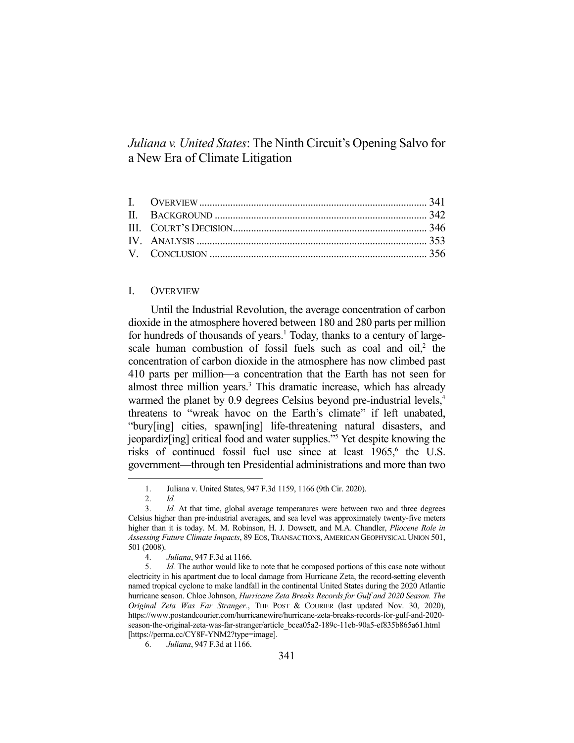# *Juliana v. United States*: The Ninth Circuit's Opening Salvo for a New Era of Climate Litigation

## I. OVERVIEW

 Until the Industrial Revolution, the average concentration of carbon dioxide in the atmosphere hovered between 180 and 280 parts per million for hundreds of thousands of years.<sup>1</sup> Today, thanks to a century of largescale human combustion of fossil fuels such as coal and oil,<sup>2</sup> the concentration of carbon dioxide in the atmosphere has now climbed past 410 parts per million—a concentration that the Earth has not seen for almost three million years.<sup>3</sup> This dramatic increase, which has already warmed the planet by 0.9 degrees Celsius beyond pre-industrial levels,<sup>4</sup> threatens to "wreak havoc on the Earth's climate" if left unabated, "bury[ing] cities, spawn[ing] life-threatening natural disasters, and jeopardiz[ing] critical food and water supplies."5 Yet despite knowing the risks of continued fossil fuel use since at least  $1965$ , the U.S. government—through ten Presidential administrations and more than two

 <sup>1.</sup> Juliana v. United States, 947 F.3d 1159, 1166 (9th Cir. 2020).

 <sup>2.</sup> *Id.*

 <sup>3.</sup> *Id.* At that time, global average temperatures were between two and three degrees Celsius higher than pre-industrial averages, and sea level was approximately twenty-five meters higher than it is today. M. M. Robinson, H. J. Dowsett, and M.A. Chandler, *Pliocene Role in Assessing Future Climate Impacts*, 89 EOS, TRANSACTIONS, AMERICAN GEOPHYSICAL UNION 501, 501 (2008).

 <sup>4.</sup> *Juliana*, 947 F.3d at 1166.

 <sup>5.</sup> *Id.* The author would like to note that he composed portions of this case note without electricity in his apartment due to local damage from Hurricane Zeta, the record-setting eleventh named tropical cyclone to make landfall in the continental United States during the 2020 Atlantic hurricane season. Chloe Johnson, *Hurricane Zeta Breaks Records for Gulf and 2020 Season. The Original Zeta Was Far Stranger.*, THE POST & COURIER (last updated Nov. 30, 2020), https://www.postandcourier.com/hurricanewire/hurricane-zeta-breaks-records-for-gulf-and-2020 season-the-original-zeta-was-far-stranger/article\_bcea05a2-189c-11eb-90a5-ef835b865a61.html [https://perma.cc/CY8F-YNM2?type=image].

 <sup>6.</sup> *Juliana*, 947 F.3d at 1166.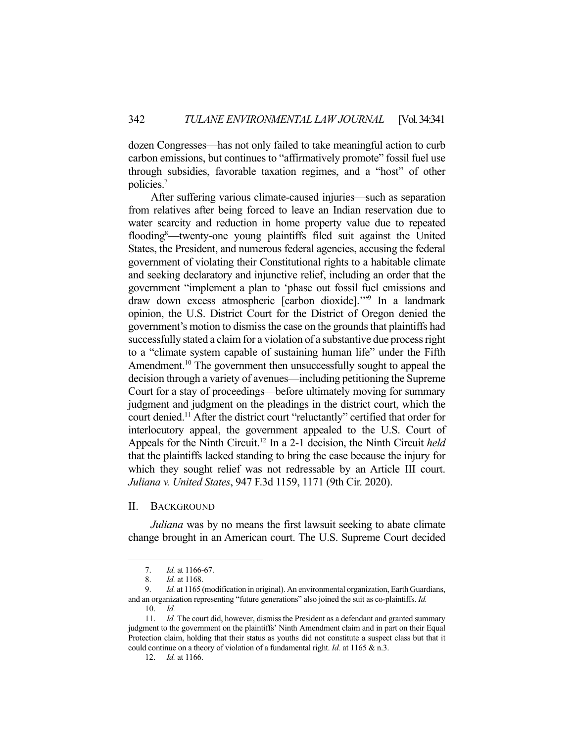dozen Congresses—has not only failed to take meaningful action to curb carbon emissions, but continues to "affirmatively promote" fossil fuel use through subsidies, favorable taxation regimes, and a "host" of other policies.7

 After suffering various climate-caused injuries—such as separation from relatives after being forced to leave an Indian reservation due to water scarcity and reduction in home property value due to repeated flooding8 —twenty-one young plaintiffs filed suit against the United States, the President, and numerous federal agencies, accusing the federal government of violating their Constitutional rights to a habitable climate and seeking declaratory and injunctive relief, including an order that the government "implement a plan to 'phase out fossil fuel emissions and draw down excess atmospheric [carbon dioxide].'"9 In a landmark opinion, the U.S. District Court for the District of Oregon denied the government's motion to dismiss the case on the grounds that plaintiffs had successfully stated a claim for a violation of a substantive due process right to a "climate system capable of sustaining human life" under the Fifth Amendment.<sup>10</sup> The government then unsuccessfully sought to appeal the decision through a variety of avenues—including petitioning the Supreme Court for a stay of proceedings—before ultimately moving for summary judgment and judgment on the pleadings in the district court, which the court denied.11 After the district court "reluctantly" certified that order for interlocutory appeal, the government appealed to the U.S. Court of Appeals for the Ninth Circuit.12 In a 2-1 decision, the Ninth Circuit *held* that the plaintiffs lacked standing to bring the case because the injury for which they sought relief was not redressable by an Article III court. *Juliana v. United States*, 947 F.3d 1159, 1171 (9th Cir. 2020).

### II. BACKGROUND

*Juliana* was by no means the first lawsuit seeking to abate climate change brought in an American court. The U.S. Supreme Court decided

 <sup>7.</sup> *Id.* at 1166-67.

 <sup>8.</sup> *Id.* at 1168.

<sup>9.</sup> *Id.* at 1165 (modification in original). An environmental organization, Earth Guardians, and an organization representing "future generations" also joined the suit as co-plaintiffs. *Id.* 

 <sup>10.</sup> *Id.*

 <sup>11.</sup> *Id.* The court did, however, dismiss the President as a defendant and granted summary judgment to the government on the plaintiffs' Ninth Amendment claim and in part on their Equal Protection claim, holding that their status as youths did not constitute a suspect class but that it could continue on a theory of violation of a fundamental right. *Id.* at 1165 & n.3.

 <sup>12.</sup> *Id.* at 1166.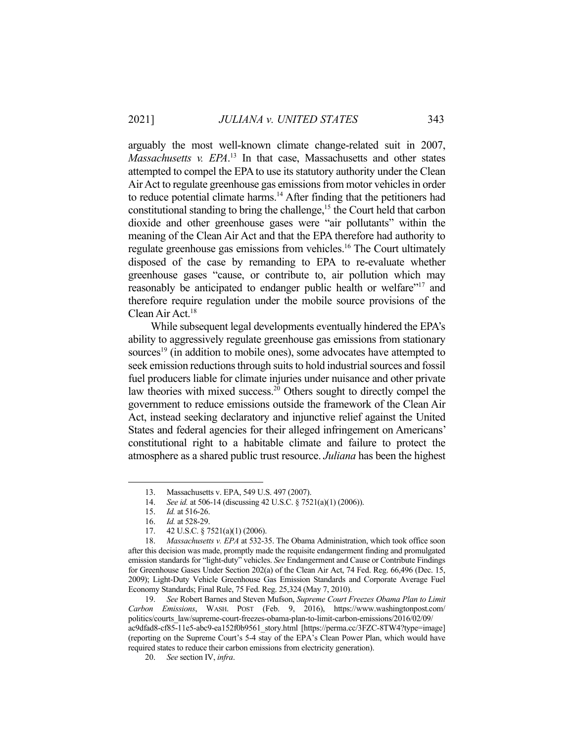arguably the most well-known climate change-related suit in 2007, *Massachusetts v. EPA*. 13 In that case, Massachusetts and other states attempted to compel the EPA to use its statutory authority under the Clean Air Act to regulate greenhouse gas emissions from motor vehicles in order to reduce potential climate harms.<sup>14</sup> After finding that the petitioners had constitutional standing to bring the challenge,<sup>15</sup> the Court held that carbon dioxide and other greenhouse gases were "air pollutants" within the meaning of the Clean Air Act and that the EPA therefore had authority to regulate greenhouse gas emissions from vehicles.16 The Court ultimately disposed of the case by remanding to EPA to re-evaluate whether greenhouse gases "cause, or contribute to, air pollution which may reasonably be anticipated to endanger public health or welfare"<sup>17</sup> and therefore require regulation under the mobile source provisions of the Clean Air Act.<sup>18</sup>

 While subsequent legal developments eventually hindered the EPA's ability to aggressively regulate greenhouse gas emissions from stationary sources<sup>19</sup> (in addition to mobile ones), some advocates have attempted to seek emission reductions through suits to hold industrial sources and fossil fuel producers liable for climate injuries under nuisance and other private law theories with mixed success.<sup>20</sup> Others sought to directly compel the government to reduce emissions outside the framework of the Clean Air Act, instead seeking declaratory and injunctive relief against the United States and federal agencies for their alleged infringement on Americans' constitutional right to a habitable climate and failure to protect the atmosphere as a shared public trust resource. *Juliana* has been the highest

 <sup>13.</sup> Massachusetts v. EPA, 549 U.S. 497 (2007).

 <sup>14.</sup> *See id.* at 506-14 (discussing 42 U.S.C. § 7521(a)(1) (2006)).

 <sup>15.</sup> *Id.* at 516-26.

 <sup>16.</sup> *Id.* at 528-29.

 <sup>17. 42</sup> U.S.C. § 7521(a)(1) (2006).

 <sup>18.</sup> *Massachusetts v. EPA* at 532-35. The Obama Administration, which took office soon after this decision was made, promptly made the requisite endangerment finding and promulgated emission standards for "light-duty" vehicles. *See* Endangerment and Cause or Contribute Findings for Greenhouse Gases Under Section 202(a) of the Clean Air Act, 74 Fed. Reg. 66,496 (Dec. 15, 2009); Light-Duty Vehicle Greenhouse Gas Emission Standards and Corporate Average Fuel Economy Standards; Final Rule, 75 Fed. Reg. 25,324 (May 7, 2010).

 <sup>19.</sup> *See* Robert Barnes and Steven Mufson, *Supreme Court Freezes Obama Plan to Limit Carbon Emissions*, WASH. POST (Feb. 9, 2016), https://www.washingtonpost.com/ politics/courts\_law/supreme-court-freezes-obama-plan-to-limit-carbon-emissions/2016/02/09/ ac9dfad8-cf85-11e5-abc9-ea152f0b9561\_story.html [https://perma.cc/3FZC-8TW4?type=image] (reporting on the Supreme Court's 5-4 stay of the EPA's Clean Power Plan, which would have required states to reduce their carbon emissions from electricity generation).

 <sup>20.</sup> *See* section IV, *infra*.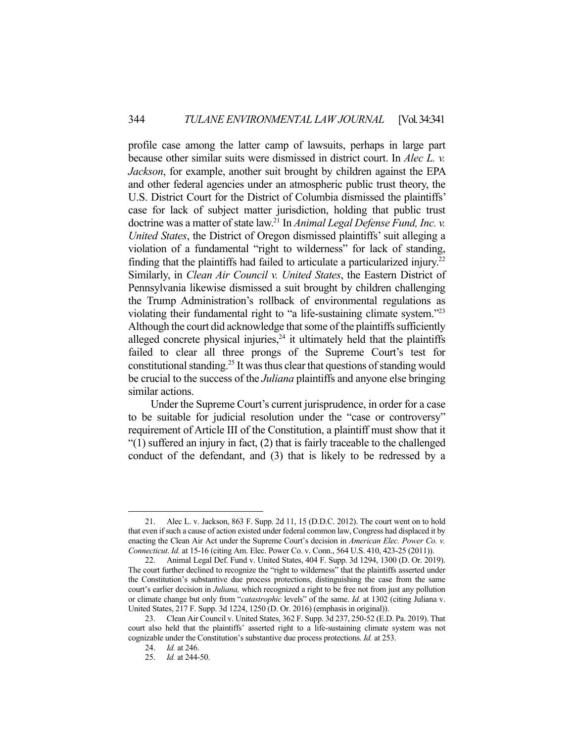profile case among the latter camp of lawsuits, perhaps in large part because other similar suits were dismissed in district court. In *Alec L. v. Jackson*, for example, another suit brought by children against the EPA and other federal agencies under an atmospheric public trust theory, the U.S. District Court for the District of Columbia dismissed the plaintiffs' case for lack of subject matter jurisdiction, holding that public trust doctrine was a matter of state law.21 In *Animal Legal Defense Fund, Inc. v. United States*, the District of Oregon dismissed plaintiffs' suit alleging a violation of a fundamental "right to wilderness" for lack of standing, finding that the plaintiffs had failed to articulate a particularized injury.<sup>22</sup> Similarly, in *Clean Air Council v. United States*, the Eastern District of Pennsylvania likewise dismissed a suit brought by children challenging the Trump Administration's rollback of environmental regulations as violating their fundamental right to "a life-sustaining climate system."23 Although the court did acknowledge that some of the plaintiffs sufficiently alleged concrete physical injuries, $24$  it ultimately held that the plaintiffs failed to clear all three prongs of the Supreme Court's test for constitutional standing.<sup>25</sup> It was thus clear that questions of standing would be crucial to the success of the *Juliana* plaintiffs and anyone else bringing similar actions.

 Under the Supreme Court's current jurisprudence, in order for a case to be suitable for judicial resolution under the "case or controversy" requirement of Article III of the Constitution, a plaintiff must show that it "(1) suffered an injury in fact, (2) that is fairly traceable to the challenged conduct of the defendant, and (3) that is likely to be redressed by a

 <sup>21.</sup> Alec L. v. Jackson, 863 F. Supp. 2d 11, 15 (D.D.C. 2012). The court went on to hold that even if such a cause of action existed under federal common law, Congress had displaced it by enacting the Clean Air Act under the Supreme Court's decision in *American Elec. Power Co. v. Connecticut*. *Id.* at 15-16 (citing Am. Elec. Power Co. v. Conn., 564 U.S. 410, 423-25 (2011)).

 <sup>22.</sup> Animal Legal Def. Fund v. United States, 404 F. Supp. 3d 1294, 1300 (D. Or. 2019). The court further declined to recognize the "right to wilderness" that the plaintiffs asserted under the Constitution's substantive due process protections, distinguishing the case from the same court's earlier decision in *Juliana,* which recognized a right to be free not from just any pollution or climate change but only from "*catastrophic* levels" of the same. *Id.* at 1302 (citing Juliana v. United States, 217 F. Supp. 3d 1224, 1250 (D. Or. 2016) (emphasis in original)).

 <sup>23.</sup> Clean Air Council v. United States, 362 F. Supp. 3d 237, 250-52 (E.D. Pa. 2019). That court also held that the plaintiffs' asserted right to a life-sustaining climate system was not cognizable under the Constitution's substantive due process protections. *Id.* at 253.

 <sup>24.</sup> *Id.* at 246.

 <sup>25.</sup> *Id.* at 244-50.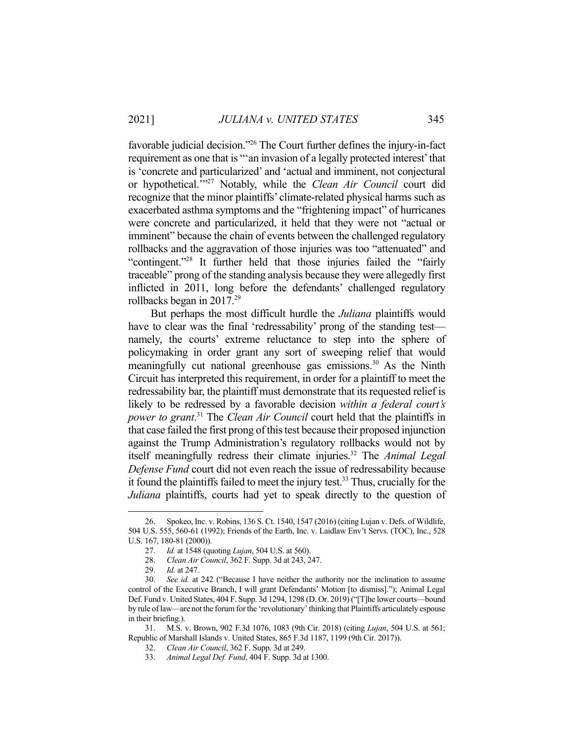favorable judicial decision."26 The Court further defines the injury-in-fact requirement as one that is "'an invasion of a legally protected interest' that is 'concrete and particularized' and 'actual and imminent, not conjectural or hypothetical.'"27 Notably, while the *Clean Air Council* court did recognize that the minor plaintiffs' climate-related physical harms such as exacerbated asthma symptoms and the "frightening impact" of hurricanes were concrete and particularized, it held that they were not "actual or imminent" because the chain of events between the challenged regulatory rollbacks and the aggravation of those injuries was too "attenuated" and "contingent."28 It further held that those injuries failed the "fairly traceable" prong of the standing analysis because they were allegedly first inflicted in 2011, long before the defendants' challenged regulatory rollbacks began in 2017.<sup>29</sup>

 But perhaps the most difficult hurdle the *Juliana* plaintiffs would have to clear was the final 'redressability' prong of the standing testnamely, the courts' extreme reluctance to step into the sphere of policymaking in order grant any sort of sweeping relief that would meaningfully cut national greenhouse gas emissions.<sup>30</sup> As the Ninth Circuit has interpreted this requirement, in order for a plaintiff to meet the redressability bar, the plaintiff must demonstrate that its requested relief is likely to be redressed by a favorable decision *within a federal court's power to grant*. 31 The *Clean Air Council* court held that the plaintiffs in that case failed the first prong of this test because their proposed injunction against the Trump Administration's regulatory rollbacks would not by itself meaningfully redress their climate injuries.<sup>32</sup> The *Animal Legal Defense Fund* court did not even reach the issue of redressability because it found the plaintiffs failed to meet the injury test.<sup>33</sup> Thus, crucially for the *Juliana* plaintiffs, courts had yet to speak directly to the question of

 <sup>26.</sup> Spokeo, Inc. v. Robins, 136 S. Ct. 1540, 1547 (2016) (citing Lujan v. Defs. of Wildlife, 504 U.S. 555, 560-61 (1992); Friends of the Earth, Inc. v. Laidlaw Env't Servs. (TOC), Inc., 528 U.S. 167, 180-81 (2000)).

 <sup>27.</sup> *Id.* at 1548 (quoting *Lujan*, 504 U.S. at 560).

 <sup>28.</sup> *Clean Air Council*, 362 F. Supp. 3d at 243, 247.

 <sup>29.</sup> *Id.* at 247.

 <sup>30.</sup> *See id.* at 242 ("Because I have neither the authority nor the inclination to assume control of the Executive Branch, I will grant Defendants' Motion [to dismiss]."); Animal Legal Def. Fund v. United States, 404 F. Supp. 3d 1294, 1298 (D. Or. 2019) ("[T]he lower courts—bound by rule of law—are not the forum for the 'revolutionary' thinking that Plaintiffs articulately espouse in their briefing.).

 <sup>31.</sup> M.S. v. Brown, 902 F.3d 1076, 1083 (9th Cir. 2018) (citing *Lujan*, 504 U.S. at 561; Republic of Marshall Islands v. United States, 865 F.3d 1187, 1199 (9th Cir. 2017)).

 <sup>32.</sup> *Clean Air Council*, 362 F. Supp. 3d at 249.

 <sup>33.</sup> *Animal Legal Def. Fund*, 404 F. Supp. 3d at 1300.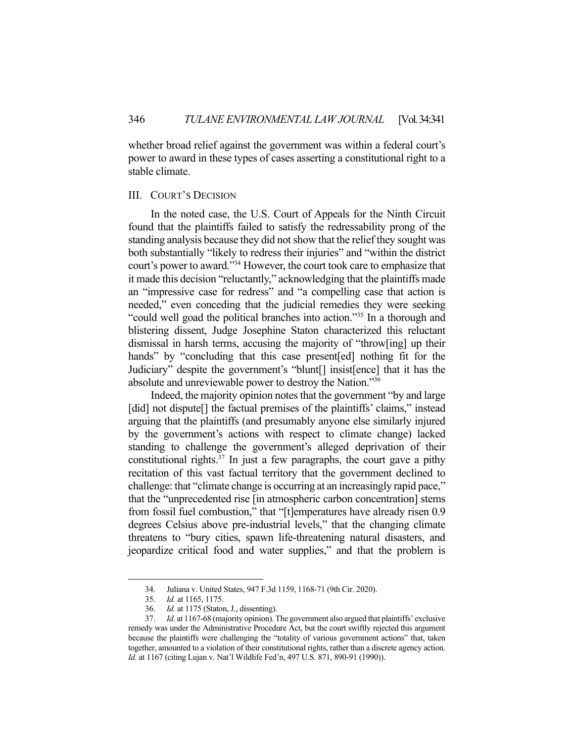whether broad relief against the government was within a federal court's power to award in these types of cases asserting a constitutional right to a stable climate.

### III. COURT'S DECISION

 In the noted case, the U.S. Court of Appeals for the Ninth Circuit found that the plaintiffs failed to satisfy the redressability prong of the standing analysis because they did not show that the relief they sought was both substantially "likely to redress their injuries" and "within the district court's power to award."34 However, the court took care to emphasize that it made this decision "reluctantly," acknowledging that the plaintiffs made an "impressive case for redress" and "a compelling case that action is needed," even conceding that the judicial remedies they were seeking "could well goad the political branches into action."35 In a thorough and blistering dissent, Judge Josephine Staton characterized this reluctant dismissal in harsh terms, accusing the majority of "throw[ing] up their hands" by "concluding that this case present [ed] nothing fit for the Judiciary" despite the government's "blunt[] insist[ence] that it has the absolute and unreviewable power to destroy the Nation."36

 Indeed, the majority opinion notes that the government "by and large [did] not dispute] the factual premises of the plaintiffs' claims," instead arguing that the plaintiffs (and presumably anyone else similarly injured by the government's actions with respect to climate change) lacked standing to challenge the government's alleged deprivation of their constitutional rights.<sup>37</sup> In just a few paragraphs, the court gave a pithy recitation of this vast factual territory that the government declined to challenge: that "climate change is occurring at an increasingly rapid pace," that the "unprecedented rise [in atmospheric carbon concentration] stems from fossil fuel combustion," that "[t]emperatures have already risen 0.9 degrees Celsius above pre-industrial levels," that the changing climate threatens to "bury cities, spawn life-threatening natural disasters, and jeopardize critical food and water supplies," and that the problem is

 <sup>34.</sup> Juliana v. United States, 947 F.3d 1159, 1168-71 (9th Cir. 2020).

 <sup>35.</sup> *Id.* at 1165, 1175.

 <sup>36.</sup> *Id.* at 1175 (Staton, J., dissenting).

 <sup>37.</sup> *Id.* at 1167-68 (majority opinion). The government also argued that plaintiffs' exclusive remedy was under the Administrative Procedure Act, but the court swiftly rejected this argument because the plaintiffs were challenging the "totality of various government actions" that, taken together, amounted to a violation of their constitutional rights, rather than a discrete agency action. *Id.* at 1167 (citing Lujan v. Nat'l Wildlife Fed'n, 497 U.S. 871, 890-91 (1990)).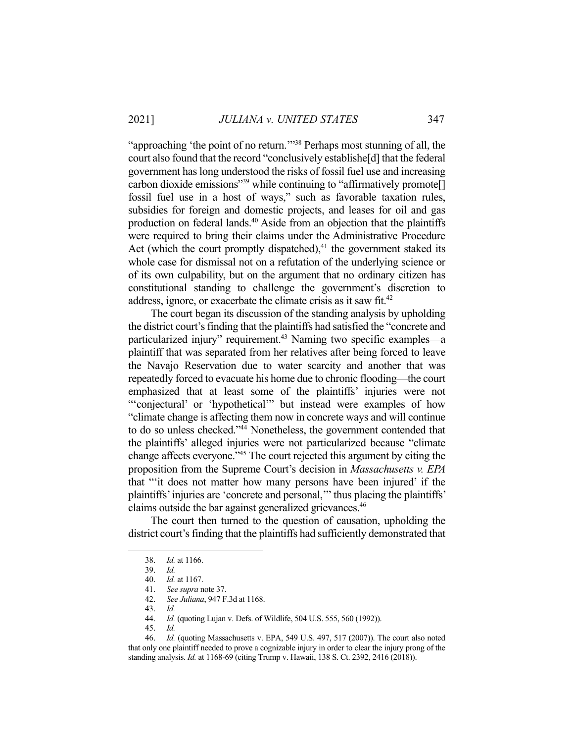"approaching 'the point of no return.'"38 Perhaps most stunning of all, the court also found that the record "conclusively establishe[d] that the federal government has long understood the risks of fossil fuel use and increasing carbon dioxide emissions"<sup>39</sup> while continuing to "affirmatively promote<sup>[]</sup> fossil fuel use in a host of ways," such as favorable taxation rules, subsidies for foreign and domestic projects, and leases for oil and gas production on federal lands.<sup>40</sup> Aside from an objection that the plaintiffs were required to bring their claims under the Administrative Procedure Act (which the court promptly dispatched), $41$  the government staked its whole case for dismissal not on a refutation of the underlying science or of its own culpability, but on the argument that no ordinary citizen has constitutional standing to challenge the government's discretion to address, ignore, or exacerbate the climate crisis as it saw fit.<sup>42</sup>

 The court began its discussion of the standing analysis by upholding the district court's finding that the plaintiffs had satisfied the "concrete and particularized injury" requirement.<sup>43</sup> Naming two specific examples—a plaintiff that was separated from her relatives after being forced to leave the Navajo Reservation due to water scarcity and another that was repeatedly forced to evacuate his home due to chronic flooding—the court emphasized that at least some of the plaintiffs' injuries were not "'conjectural' or 'hypothetical'" but instead were examples of how "climate change is affecting them now in concrete ways and will continue to do so unless checked."44 Nonetheless, the government contended that the plaintiffs' alleged injuries were not particularized because "climate change affects everyone."45 The court rejected this argument by citing the proposition from the Supreme Court's decision in *Massachusetts v. EPA*  that "'it does not matter how many persons have been injured' if the plaintiffs' injuries are 'concrete and personal,'" thus placing the plaintiffs' claims outside the bar against generalized grievances.<sup>46</sup>

 The court then turned to the question of causation, upholding the district court's finding that the plaintiffs had sufficiently demonstrated that

 <sup>38.</sup> *Id.* at 1166.

 <sup>39.</sup> *Id.*

 <sup>40.</sup> *Id.* at 1167.

 <sup>41.</sup> *See supra* note 37.

 <sup>42.</sup> *See Juliana*, 947 F.3d at 1168.

 <sup>43.</sup> *Id.*

 <sup>44.</sup> *Id.* (quoting Lujan v. Defs. of Wildlife, 504 U.S. 555, 560 (1992)).

 <sup>45.</sup> *Id.*

 <sup>46.</sup> *Id.* (quoting Massachusetts v. EPA, 549 U.S. 497, 517 (2007)). The court also noted that only one plaintiff needed to prove a cognizable injury in order to clear the injury prong of the standing analysis. *Id.* at 1168-69 (citing Trump v. Hawaii, 138 S. Ct. 2392, 2416 (2018)).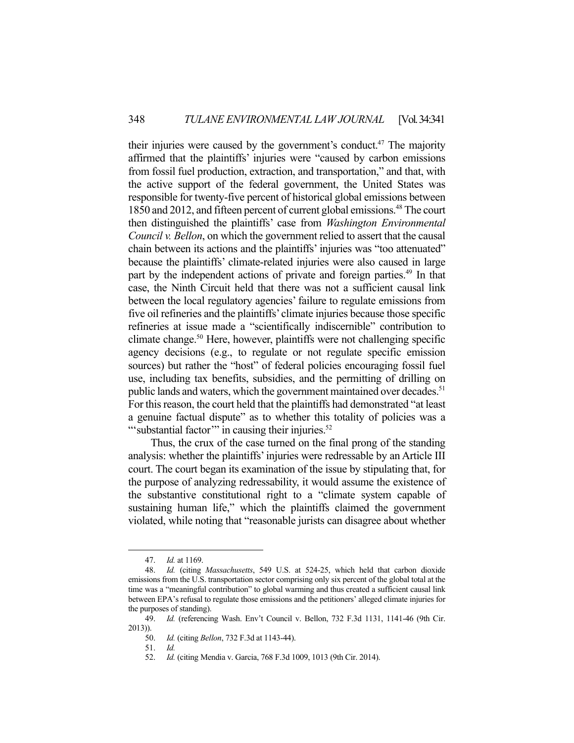their injuries were caused by the government's conduct.<sup>47</sup> The majority affirmed that the plaintiffs' injuries were "caused by carbon emissions from fossil fuel production, extraction, and transportation," and that, with the active support of the federal government, the United States was responsible for twenty-five percent of historical global emissions between 1850 and 2012, and fifteen percent of current global emissions.48 The court then distinguished the plaintiffs' case from *Washington Environmental Council v. Bellon*, on which the government relied to assert that the causal chain between its actions and the plaintiffs' injuries was "too attenuated" because the plaintiffs' climate-related injuries were also caused in large part by the independent actions of private and foreign parties.<sup>49</sup> In that case, the Ninth Circuit held that there was not a sufficient causal link between the local regulatory agencies' failure to regulate emissions from five oil refineries and the plaintiffs' climate injuries because those specific refineries at issue made a "scientifically indiscernible" contribution to climate change.50 Here, however, plaintiffs were not challenging specific agency decisions (e.g., to regulate or not regulate specific emission sources) but rather the "host" of federal policies encouraging fossil fuel use, including tax benefits, subsidies, and the permitting of drilling on public lands and waters, which the government maintained over decades.<sup>51</sup> For this reason, the court held that the plaintiffs had demonstrated "at least a genuine factual dispute" as to whether this totality of policies was a "'substantial factor" in causing their injuries.<sup>52</sup>

 Thus, the crux of the case turned on the final prong of the standing analysis: whether the plaintiffs' injuries were redressable by an Article III court. The court began its examination of the issue by stipulating that, for the purpose of analyzing redressability, it would assume the existence of the substantive constitutional right to a "climate system capable of sustaining human life," which the plaintiffs claimed the government violated, while noting that "reasonable jurists can disagree about whether

 <sup>47.</sup> *Id.* at 1169.

 <sup>48.</sup> *Id.* (citing *Massachusetts*, 549 U.S. at 524-25, which held that carbon dioxide emissions from the U.S. transportation sector comprising only six percent of the global total at the time was a "meaningful contribution" to global warming and thus created a sufficient causal link between EPA's refusal to regulate those emissions and the petitioners' alleged climate injuries for the purposes of standing).

 <sup>49.</sup> *Id.* (referencing Wash. Env't Council v. Bellon, 732 F.3d 1131, 1141-46 (9th Cir. 2013)).

 <sup>50.</sup> *Id.* (citing *Bellon*, 732 F.3d at 1143-44).

 <sup>51.</sup> *Id.*

 <sup>52.</sup> *Id.* (citing Mendia v. Garcia, 768 F.3d 1009, 1013 (9th Cir. 2014).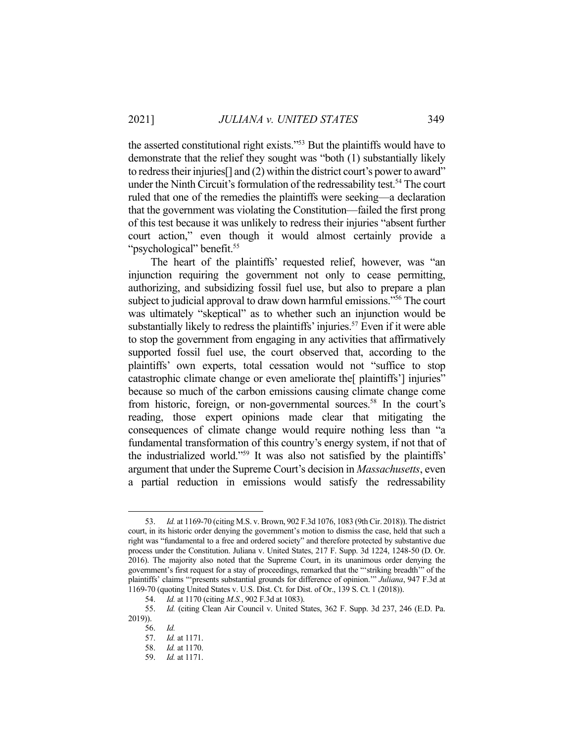the asserted constitutional right exists."53 But the plaintiffs would have to demonstrate that the relief they sought was "both (1) substantially likely to redress their injuries[] and (2) within the district court's power to award" under the Ninth Circuit's formulation of the redressability test.<sup>54</sup> The court ruled that one of the remedies the plaintiffs were seeking—a declaration that the government was violating the Constitution—failed the first prong of this test because it was unlikely to redress their injuries "absent further court action," even though it would almost certainly provide a "psychological" benefit.<sup>55</sup>

 The heart of the plaintiffs' requested relief, however, was "an injunction requiring the government not only to cease permitting, authorizing, and subsidizing fossil fuel use, but also to prepare a plan subject to judicial approval to draw down harmful emissions."56 The court was ultimately "skeptical" as to whether such an injunction would be substantially likely to redress the plaintiffs' injuries.<sup>57</sup> Even if it were able to stop the government from engaging in any activities that affirmatively supported fossil fuel use, the court observed that, according to the plaintiffs' own experts, total cessation would not "suffice to stop catastrophic climate change or even ameliorate the[ plaintiffs'] injuries" because so much of the carbon emissions causing climate change come from historic, foreign, or non-governmental sources.<sup>58</sup> In the court's reading, those expert opinions made clear that mitigating the consequences of climate change would require nothing less than "a fundamental transformation of this country's energy system, if not that of the industrialized world."59 It was also not satisfied by the plaintiffs' argument that under the Supreme Court's decision in *Massachusetts*, even a partial reduction in emissions would satisfy the redressability

 <sup>53.</sup> *Id.* at 1169-70 (citing M.S. v. Brown, 902 F.3d 1076, 1083 (9th Cir. 2018)). The district court, in its historic order denying the government's motion to dismiss the case, held that such a right was "fundamental to a free and ordered society" and therefore protected by substantive due process under the Constitution. Juliana v. United States, 217 F. Supp. 3d 1224, 1248-50 (D. Or. 2016). The majority also noted that the Supreme Court, in its unanimous order denying the government's first request for a stay of proceedings, remarked that the "'striking breadth'" of the plaintiffs' claims "'presents substantial grounds for difference of opinion.'" *Juliana*, 947 F.3d at 1169-70 (quoting United States v. U.S. Dist. Ct. for Dist. of Or., 139 S. Ct. 1 (2018)).

 <sup>54.</sup> *Id.* at 1170 (citing *M.S.*, 902 F.3d at 1083).

 <sup>55.</sup> *Id.* (citing Clean Air Council v. United States, 362 F. Supp. 3d 237, 246 (E.D. Pa. 2019)).

 <sup>56.</sup> *Id.*

 <sup>57.</sup> *Id.* at 1171.

 <sup>58.</sup> *Id.* at 1170.

 <sup>59.</sup> *Id.* at 1171.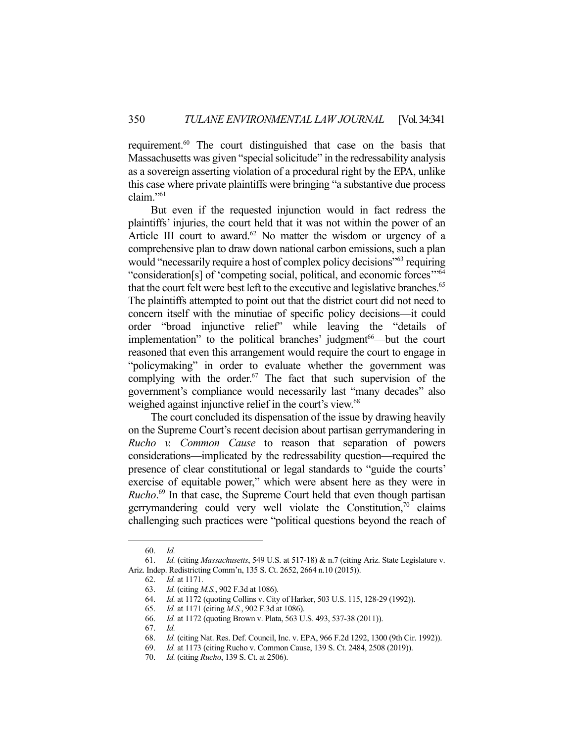requirement.<sup>60</sup> The court distinguished that case on the basis that Massachusetts was given "special solicitude" in the redressability analysis as a sovereign asserting violation of a procedural right by the EPA, unlike this case where private plaintiffs were bringing "a substantive due process claim."61

 But even if the requested injunction would in fact redress the plaintiffs' injuries, the court held that it was not within the power of an Article III court to award.<sup>62</sup> No matter the wisdom or urgency of a comprehensive plan to draw down national carbon emissions, such a plan would "necessarily require a host of complex policy decisions"<sup>63</sup> requiring "consideration[s] of 'competing social, political, and economic forces'"64 that the court felt were best left to the executive and legislative branches.<sup>65</sup> The plaintiffs attempted to point out that the district court did not need to concern itself with the minutiae of specific policy decisions—it could order "broad injunctive relief" while leaving the "details of implementation" to the political branches' judgment<sup>66—but</sup> the court reasoned that even this arrangement would require the court to engage in "policymaking" in order to evaluate whether the government was complying with the order. $67$  The fact that such supervision of the government's compliance would necessarily last "many decades" also weighed against injunctive relief in the court's view.<sup>68</sup>

 The court concluded its dispensation of the issue by drawing heavily on the Supreme Court's recent decision about partisan gerrymandering in *Rucho v. Common Cause* to reason that separation of powers considerations—implicated by the redressability question—required the presence of clear constitutional or legal standards to "guide the courts' exercise of equitable power," which were absent here as they were in *Rucho*. 69 In that case, the Supreme Court held that even though partisan gerrymandering could very well violate the Constitution, $\frac{70}{10}$  claims challenging such practices were "political questions beyond the reach of

 <sup>60.</sup> *Id.*

 <sup>61.</sup> *Id.* (citing *Massachusetts*, 549 U.S. at 517-18) & n.7 (citing Ariz. State Legislature v. Ariz. Indep. Redistricting Comm'n, 135 S. Ct. 2652, 2664 n.10 (2015)).

 <sup>62.</sup> *Id.* at 1171.

 <sup>63.</sup> *Id.* (citing *M.S.*, 902 F.3d at 1086).

 <sup>64.</sup> *Id.* at 1172 (quoting Collins v. City of Harker, 503 U.S. 115, 128-29 (1992)).

 <sup>65.</sup> *Id.* at 1171 (citing *M.S.*, 902 F.3d at 1086).

 <sup>66.</sup> *Id.* at 1172 (quoting Brown v. Plata, 563 U.S. 493, 537-38 (2011)).

 <sup>67.</sup> *Id.*

 <sup>68.</sup> *Id.* (citing Nat. Res. Def. Council, Inc. v. EPA, 966 F.2d 1292, 1300 (9th Cir. 1992)).

 <sup>69.</sup> *Id.* at 1173 (citing Rucho v. Common Cause, 139 S. Ct. 2484, 2508 (2019)).

 <sup>70.</sup> *Id.* (citing *Rucho*, 139 S. Ct. at 2506).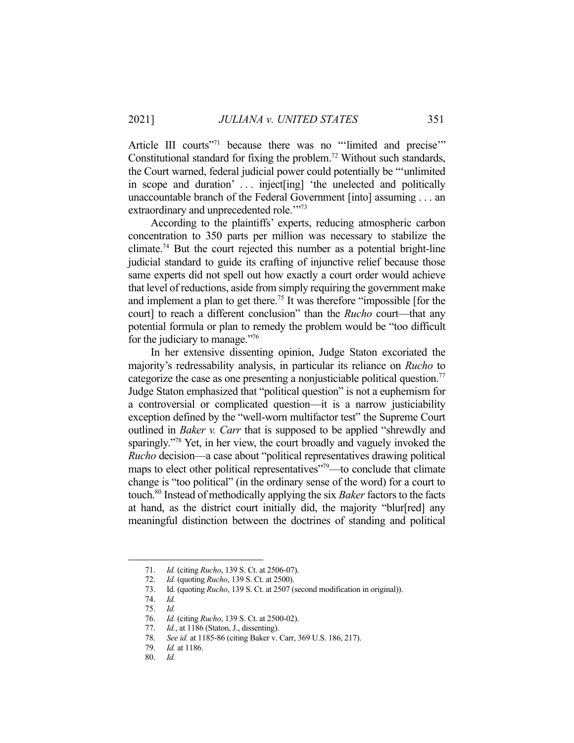Article III courts"<sup>71</sup> because there was no "'limited and precise"" Constitutional standard for fixing the problem.<sup>72</sup> Without such standards, the Court warned, federal judicial power could potentially be "'unlimited in scope and duration' . . . inject[ing] 'the unelected and politically unaccountable branch of the Federal Government [into] assuming . . . an extraordinary and unprecedented role."<sup>73</sup>

 According to the plaintiffs' experts, reducing atmospheric carbon concentration to 350 parts per million was necessary to stabilize the climate.<sup>74</sup> But the court rejected this number as a potential bright-line judicial standard to guide its crafting of injunctive relief because those same experts did not spell out how exactly a court order would achieve that level of reductions, aside from simply requiring the government make and implement a plan to get there.<sup>75</sup> It was therefore "impossible [for the court] to reach a different conclusion" than the *Rucho* court—that any potential formula or plan to remedy the problem would be "too difficult for the judiciary to manage."76

 In her extensive dissenting opinion, Judge Staton excoriated the majority's redressability analysis, in particular its reliance on *Rucho* to categorize the case as one presenting a nonjusticiable political question.<sup>77</sup> Judge Staton emphasized that "political question" is not a euphemism for a controversial or complicated question—it is a narrow justiciability exception defined by the "well-worn multifactor test" the Supreme Court outlined in *Baker v. Carr* that is supposed to be applied "shrewdly and sparingly."78 Yet, in her view, the court broadly and vaguely invoked the *Rucho* decision—a case about "political representatives drawing political maps to elect other political representatives"<sup>79</sup>—to conclude that climate change is "too political" (in the ordinary sense of the word) for a court to touch.80 Instead of methodically applying the six *Baker* factors to the facts at hand, as the district court initially did, the majority "blur[red] any meaningful distinction between the doctrines of standing and political

 <sup>71.</sup> *Id.* (citing *Rucho*, 139 S. Ct. at 2506-07).

*Id.* (quoting *Rucho*, 139 S. Ct. at 2500).

 <sup>73.</sup> Id*.* (quoting *Rucho*, 139 S. Ct. at 2507 (second modification in original)).

 <sup>74.</sup> *Id.*

 <sup>75.</sup> *Id.*

 <sup>76.</sup> *Id.* (citing *Rucho*, 139 S. Ct. at 2500-02).

 <sup>77.</sup> *Id.*, at 1186 (Staton, J., dissenting).

 <sup>78.</sup> *See id.* at 1185-86 (citing Baker v. Carr, 369 U.S. 186, 217).

 <sup>79.</sup> *Id.* at 1186.

 <sup>80.</sup> *Id.*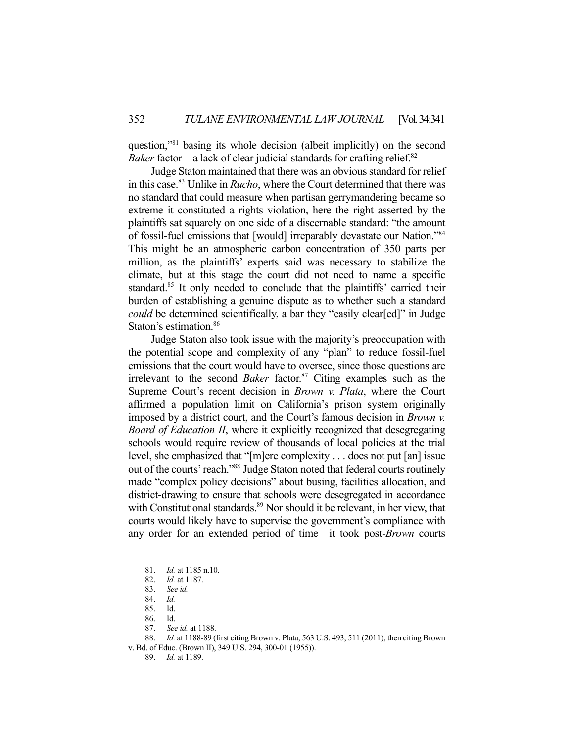question,"81 basing its whole decision (albeit implicitly) on the second *Baker* factor—a lack of clear judicial standards for crafting relief.<sup>82</sup>

 Judge Staton maintained that there was an obvious standard for relief in this case.83 Unlike in *Rucho*, where the Court determined that there was no standard that could measure when partisan gerrymandering became so extreme it constituted a rights violation, here the right asserted by the plaintiffs sat squarely on one side of a discernable standard: "the amount of fossil-fuel emissions that [would] irreparably devastate our Nation."84 This might be an atmospheric carbon concentration of 350 parts per million, as the plaintiffs' experts said was necessary to stabilize the climate, but at this stage the court did not need to name a specific standard.<sup>85</sup> It only needed to conclude that the plaintiffs' carried their burden of establishing a genuine dispute as to whether such a standard *could* be determined scientifically, a bar they "easily clear[ed]" in Judge Staton's estimation.<sup>86</sup>

 Judge Staton also took issue with the majority's preoccupation with the potential scope and complexity of any "plan" to reduce fossil-fuel emissions that the court would have to oversee, since those questions are irrelevant to the second *Baker* factor.<sup>87</sup> Citing examples such as the Supreme Court's recent decision in *Brown v. Plata*, where the Court affirmed a population limit on California's prison system originally imposed by a district court, and the Court's famous decision in *Brown v. Board of Education II*, where it explicitly recognized that desegregating schools would require review of thousands of local policies at the trial level, she emphasized that "[m]ere complexity . . . does not put [an] issue out of the courts' reach."88 Judge Staton noted that federal courts routinely made "complex policy decisions" about busing, facilities allocation, and district-drawing to ensure that schools were desegregated in accordance with Constitutional standards. $89$  Nor should it be relevant, in her view, that courts would likely have to supervise the government's compliance with any order for an extended period of time—it took post-*Brown* courts

 <sup>81.</sup> *Id.* at 1185 n.10.

 <sup>82.</sup> *Id.* at 1187.

 <sup>83.</sup> *See id.* 

 <sup>84.</sup> *Id.*

 <sup>85.</sup> Id.

 <sup>86.</sup> Id.

 <sup>87.</sup> *See id.* at 1188.

 <sup>88.</sup> *Id.* at 1188-89 (first citing Brown v. Plata, 563 U.S. 493, 511 (2011); then citing Brown v. Bd. of Educ. (Brown II), 349 U.S. 294, 300-01 (1955)).

 <sup>89.</sup> *Id.* at 1189.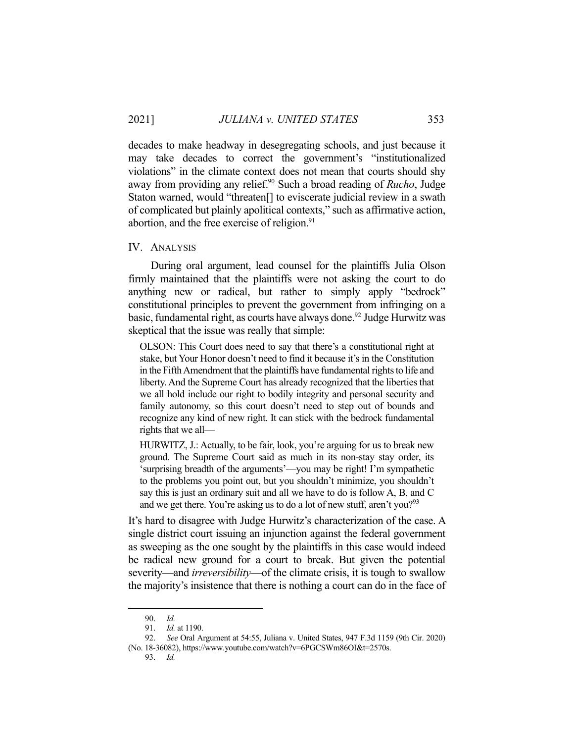decades to make headway in desegregating schools, and just because it may take decades to correct the government's "institutionalized violations" in the climate context does not mean that courts should shy away from providing any relief.<sup>90</sup> Such a broad reading of *Rucho*, Judge Staton warned, would "threaten[] to eviscerate judicial review in a swath of complicated but plainly apolitical contexts," such as affirmative action, abortion, and the free exercise of religion.<sup>91</sup>

#### IV. ANALYSIS

 During oral argument, lead counsel for the plaintiffs Julia Olson firmly maintained that the plaintiffs were not asking the court to do anything new or radical, but rather to simply apply "bedrock" constitutional principles to prevent the government from infringing on a basic, fundamental right, as courts have always done.<sup>92</sup> Judge Hurwitz was skeptical that the issue was really that simple:

OLSON: This Court does need to say that there's a constitutional right at stake, but Your Honor doesn't need to find it because it's in the Constitution in the Fifth Amendment that the plaintiffs have fundamental rights to life and liberty. And the Supreme Court has already recognized that the liberties that we all hold include our right to bodily integrity and personal security and family autonomy, so this court doesn't need to step out of bounds and recognize any kind of new right. It can stick with the bedrock fundamental rights that we all—

HURWITZ, J.: Actually, to be fair, look, you're arguing for us to break new ground. The Supreme Court said as much in its non-stay stay order, its 'surprising breadth of the arguments'—you may be right! I'm sympathetic to the problems you point out, but you shouldn't minimize, you shouldn't say this is just an ordinary suit and all we have to do is follow A, B, and C and we get there. You're asking us to do a lot of new stuff, aren't you?<sup>93</sup>

It's hard to disagree with Judge Hurwitz's characterization of the case. A single district court issuing an injunction against the federal government as sweeping as the one sought by the plaintiffs in this case would indeed be radical new ground for a court to break. But given the potential severity—and *irreversibility*—of the climate crisis, it is tough to swallow the majority's insistence that there is nothing a court can do in the face of

93. *Id.*

 <sup>90.</sup> *Id.*

 <sup>91.</sup> *Id.* at 1190.

 <sup>92.</sup> *See* Oral Argument at 54:55, Juliana v. United States, 947 F.3d 1159 (9th Cir. 2020) (No. 18-36082), https://www.youtube.com/watch?v=6PGCSWm86OI&t=2570s.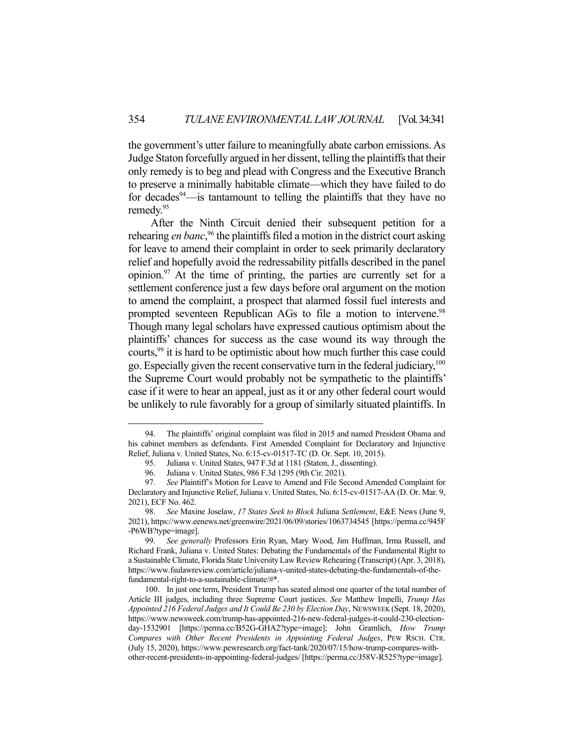the government's utter failure to meaningfully abate carbon emissions. As Judge Staton forcefully argued in her dissent, telling the plaintiffs that their only remedy is to beg and plead with Congress and the Executive Branch to preserve a minimally habitable climate—which they have failed to do for decades  $94$ —is tantamount to telling the plaintiffs that they have no remedy.95

 After the Ninth Circuit denied their subsequent petition for a rehearing *en banc*,<sup>96</sup> the plaintiffs filed a motion in the district court asking for leave to amend their complaint in order to seek primarily declaratory relief and hopefully avoid the redressability pitfalls described in the panel opinion.  $97$  At the time of printing, the parties are currently set for a settlement conference just a few days before oral argument on the motion to amend the complaint, a prospect that alarmed fossil fuel interests and prompted seventeen Republican AGs to file a motion to intervene.<sup>98</sup> Though many legal scholars have expressed cautious optimism about the plaintiffs' chances for success as the case wound its way through the courts,<sup>99</sup> it is hard to be optimistic about how much further this case could go. Especially given the recent conservative turn in the federal judiciary,100 the Supreme Court would probably not be sympathetic to the plaintiffs' case if it were to hear an appeal, just as it or any other federal court would be unlikely to rule favorably for a group of similarly situated plaintiffs. In

 <sup>94.</sup> The plaintiffs' original complaint was filed in 2015 and named President Obama and his cabinet members as defendants. First Amended Complaint for Declaratory and Injunctive Relief, Juliana v. United States, No. 6:15-cv-01517-TC (D. Or. Sept. 10, 2015).

 <sup>95.</sup> Juliana v. United States, 947 F.3d at 1181 (Staton, J., dissenting).

 <sup>96.</sup> Juliana v. United States, 986 F.3d 1295 (9th Cir. 2021).

<sup>97</sup>*. See* Plaintiff's Motion for Leave to Amend and File Second Amended Complaint for Declaratory and Injunctive Relief, Juliana v. United States, No. 6:15-cv-01517-AA (D. Or. Mar. 9, 2021), ECF No. 462.

 <sup>98.</sup> *See* Maxine Joselaw, *17 States Seek to Block* Juliana *Settlement*, E&E News (June 9, 2021), https://www.eenews.net/greenwire/2021/06/09/stories/1063734545 [https://perma.cc/945F -P6WB?type=image].

 <sup>99.</sup> *See generally* Professors Erin Ryan, Mary Wood, Jim Huffman, Irma Russell, and Richard Frank, Juliana v. United States: Debating the Fundamentals of the Fundamental Right to a Sustainable Climate, Florida State University Law Review Rehearing (Transcript) (Apr. 3, 2018), https://www.fsulawreview.com/article/juliana-v-united-states-debating-the-fundamentals-of-thefundamental-right-to-a-sustainable-climate/#\*.

 <sup>100.</sup> In just one term, President Trump has seated almost one quarter of the total number of Article III judges, including three Supreme Court justices. *See* Matthew Impelli, *Trump Has Appointed 216 Federal Judges and It Could Be 230 by Election Day*, NEWSWEEK (Sept. 18, 2020), https://www.newsweek.com/trump-has-appointed-216-new-federal-judges-it-could-230-electionday-1532901 [https://perma.cc/B52G-GHA2?type=image]; John Gramlich, *How Trump Compares with Other Recent Presidents in Appointing Federal Judges*, PEW RSCH. CTR. (July 15, 2020), https://www.pewresearch.org/fact-tank/2020/07/15/how-trump-compares-withother-recent-presidents-in-appointing-federal-judges/ [https://perma.cc/J58V-R525?type=image].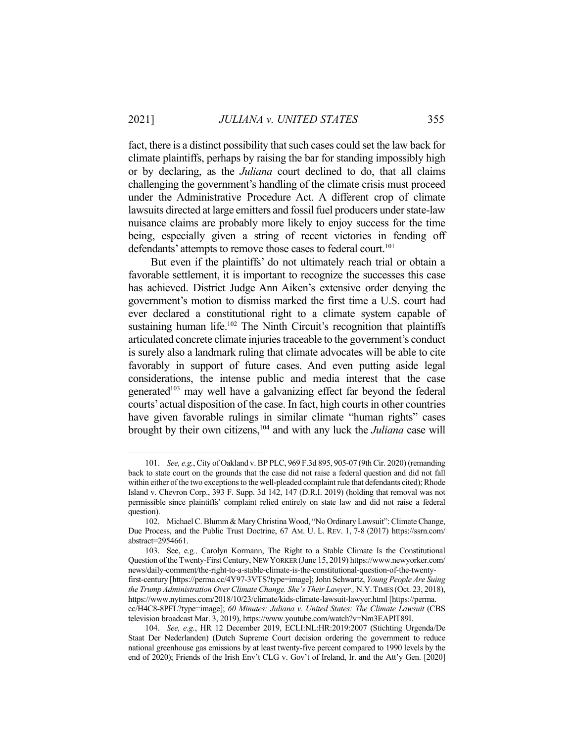fact, there is a distinct possibility that such cases could set the law back for climate plaintiffs, perhaps by raising the bar for standing impossibly high or by declaring, as the *Juliana* court declined to do, that all claims challenging the government's handling of the climate crisis must proceed under the Administrative Procedure Act. A different crop of climate lawsuits directed at large emitters and fossil fuel producers under state-law nuisance claims are probably more likely to enjoy success for the time being, especially given a string of recent victories in fending off defendants' attempts to remove those cases to federal court.<sup>101</sup>

 But even if the plaintiffs' do not ultimately reach trial or obtain a favorable settlement, it is important to recognize the successes this case has achieved. District Judge Ann Aiken's extensive order denying the government's motion to dismiss marked the first time a U.S. court had ever declared a constitutional right to a climate system capable of sustaining human life.<sup>102</sup> The Ninth Circuit's recognition that plaintiffs articulated concrete climate injuries traceable to the government's conduct is surely also a landmark ruling that climate advocates will be able to cite favorably in support of future cases. And even putting aside legal considerations, the intense public and media interest that the case generated<sup>103</sup> may well have a galvanizing effect far beyond the federal courts' actual disposition of the case. In fact, high courts in other countries have given favorable rulings in similar climate "human rights" cases brought by their own citizens,104 and with any luck the *Juliana* case will

 <sup>101.</sup> *See, e.g.*, City of Oakland v. BP PLC, 969 F.3d 895, 905-07 (9th Cir. 2020) (remanding back to state court on the grounds that the case did not raise a federal question and did not fall within either of the two exceptions to the well-pleaded complaint rule that defendants cited); Rhode Island v. Chevron Corp., 393 F. Supp. 3d 142, 147 (D.R.I. 2019) (holding that removal was not permissible since plaintiffs' complaint relied entirely on state law and did not raise a federal question).

 <sup>102.</sup> Michael C. Blumm & Mary Christina Wood, "No Ordinary Lawsuit": Climate Change, Due Process, and the Public Trust Doctrine, 67 AM. U. L. REV. 1, 7-8 (2017) https://ssrn.com/ abstract=2954661.

 <sup>103.</sup> See, e.g*.,* Carolyn Kormann, The Right to a Stable Climate Is the Constitutional Question of the Twenty-First Century, NEW YORKER (June 15, 2019) https://www.newyorker.com/ news/daily-comment/the-right-to-a-stable-climate-is-the-constitutional-question-of-the-twentyfirst-century [https://perma.cc/4Y97-3VTS?type=image]; John Schwartz, *Young People Are Suing the Trump Administration Over Climate Change. She's Their Lawyer.,* N.Y.TIMES (Oct. 23, 2018), https://www.nytimes.com/2018/10/23/climate/kids-climate-lawsuit-lawyer.html [https://perma. cc/H4C8-8PFL?type=image]; *60 Minutes: Juliana v. United States: The Climate Lawsuit* (CBS television broadcast Mar. 3, 2019), https://www.youtube.com/watch?v=Nm3EAPlT89I.

 <sup>104.</sup> *See, e.g.*, HR 12 December 2019, ECLI:NL:HR:2019:2007 (Stichting Urgenda/De Staat Der Nederlanden) (Dutch Supreme Court decision ordering the government to reduce national greenhouse gas emissions by at least twenty-five percent compared to 1990 levels by the end of 2020); Friends of the Irish Env't CLG v. Gov't of Ireland, Ir. and the Att'y Gen. [2020]